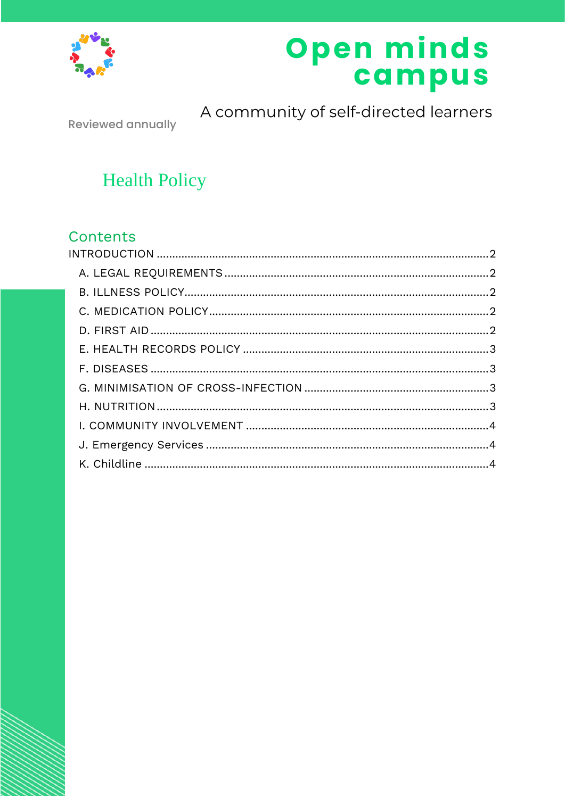

# Open minds<br>campus

**Reviewed annually** 

A community of self-directed learners

## **Health Policy**

### Contents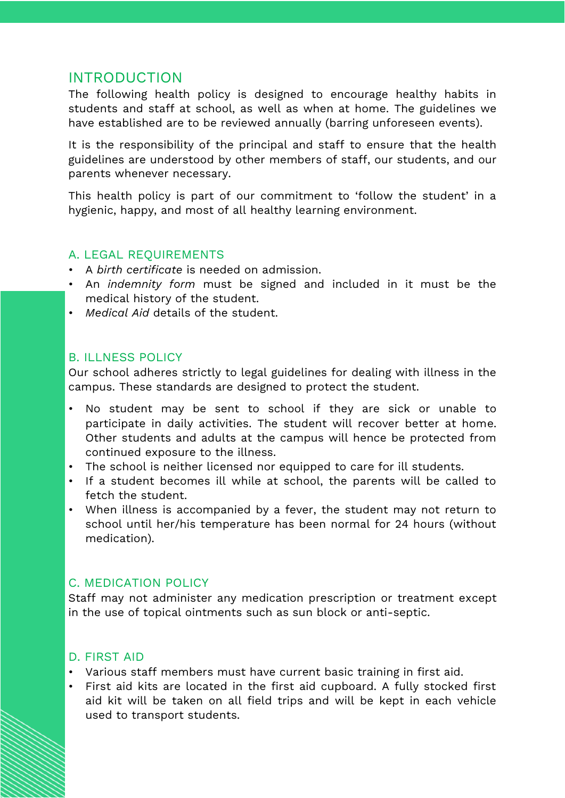#### <span id="page-1-0"></span>INTRODUCTION

The following health policy is designed to encourage healthy habits in students and staff at school, as well as when at home. The guidelines we have established are to be reviewed annually (barring unforeseen events).

It is the responsibility of the principal and staff to ensure that the health guidelines are understood by other members of staff, our students, and our parents whenever necessary.

This health policy is part of our commitment to 'follow the student' in a hygienic, happy, and most of all healthy learning environment.

#### <span id="page-1-1"></span>A. LEGAL REQUIREMENTS

- A *birth certificate* is needed on admission.
- An *indemnity form* must be signed and included in it must be the medical history of the student.
- *Medical Aid* details of the student.

#### <span id="page-1-2"></span>B. ILLNESS POLICY

Our school adheres strictly to legal guidelines for dealing with illness in the campus. These standards are designed to protect the student.

- No student may be sent to school if they are sick or unable to participate in daily activities. The student will recover better at home. Other students and adults at the campus will hence be protected from continued exposure to the illness.
- The school is neither licensed nor equipped to care for ill students.
- If a student becomes ill while at school, the parents will be called to fetch the student.
- When illness is accompanied by a fever, the student may not return to school until her/his temperature has been normal for 24 hours (without medication).

#### <span id="page-1-3"></span>C. MEDICATION POLICY

Staff may not administer any medication prescription or treatment except in the use of topical ointments such as sun block or anti-septic.

#### <span id="page-1-4"></span>D. FIRST AID

- Various staff members must have current basic training in first aid.
- First aid kits are located in the first aid cupboard. A fully stocked first aid kit will be taken on all field trips and will be kept in each vehicle used to transport students.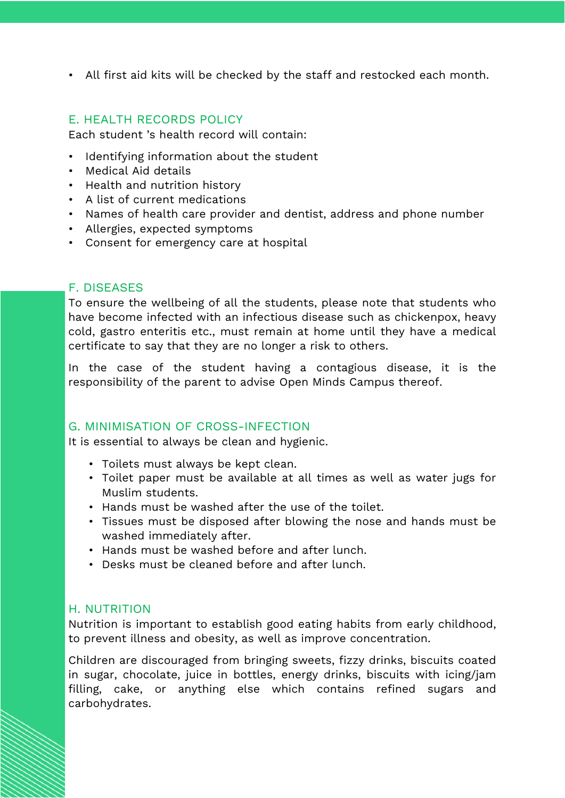• All first aid kits will be checked by the staff and restocked each month.

#### <span id="page-2-0"></span>E. HEALTH RECORDS POLICY

Each student 's health record will contain:

- Identifying information about the student
- Medical Aid details
- Health and nutrition history
- A list of current medications
- Names of health care provider and dentist, address and phone number
- Allergies, expected symptoms
- Consent for emergency care at hospital

#### <span id="page-2-1"></span>F. DISEASES

To ensure the wellbeing of all the students, please note that students who have become infected with an infectious disease such as chickenpox, heavy cold, gastro enteritis etc., must remain at home until they have a medical certificate to say that they are no longer a risk to others.

In the case of the student having a contagious disease, it is the responsibility of the parent to advise Open Minds Campus thereof.

#### <span id="page-2-2"></span>G. MINIMISATION OF CROSS-INFECTION

It is essential to always be clean and hygienic.

- Toilets must always be kept clean.
- Toilet paper must be available at all times as well as water jugs for Muslim students.
- Hands must be washed after the use of the toilet.
- Tissues must be disposed after blowing the nose and hands must be washed immediately after.
- Hands must be washed before and after lunch.
- Desks must be cleaned before and after lunch.

#### <span id="page-2-3"></span>H. NUTRITION

Nutrition is important to establish good eating habits from early childhood, to prevent illness and obesity, as well as improve concentration.

Children are discouraged from bringing sweets, fizzy drinks, biscuits coated in sugar, chocolate, juice in bottles, energy drinks, biscuits with icing/jam filling, cake, or anything else which contains refined sugars and carbohydrates.